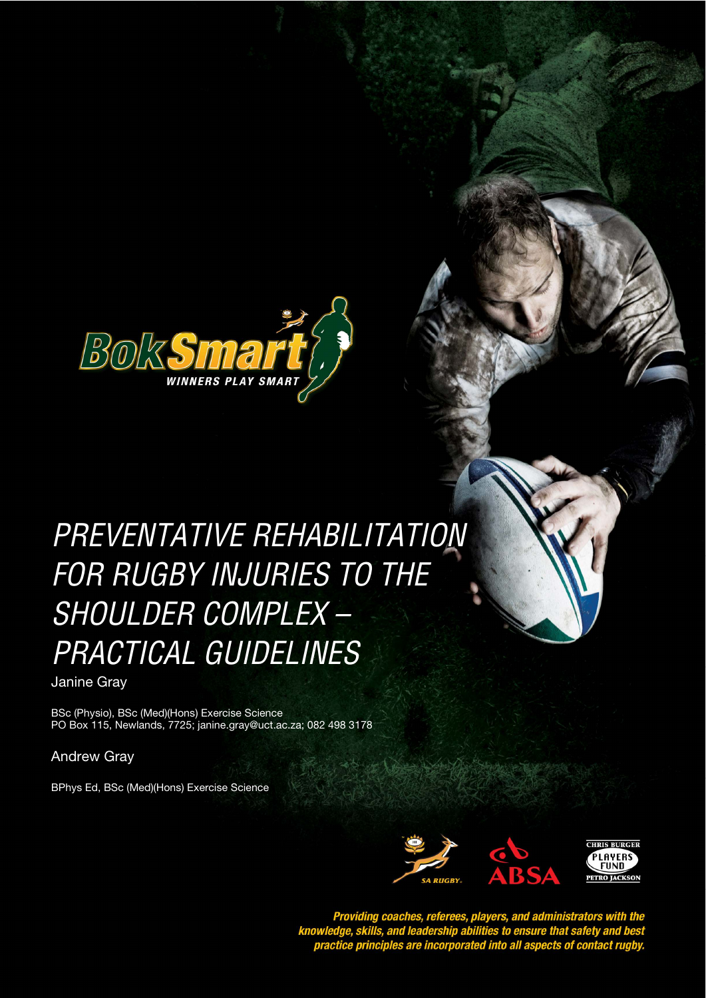

Preventative Rehabilitation for Rugby Injuries to the Shoulder Complex – Practical Guidelines

# PREVENTATIVE REHABILITATION *STYLE HEADING FOR TABLES*  FOR RUGBY INJURIES TO THE SHOULDER COMPLEX – PRACTICAL GUIDELINES

Janine Gray

BSc (Physio), BSc (Med)(Hons) Exercise Science PO Box 115, Newlands, 7725; janine.gray@uct.ac.za; 082 498 3178

Andrew Gray

BPhys Ed, BSc (Med)(Hons) Exercise Science



Providing coaches, referees, players, and administrators with the<br>knowledge, skills, and leadership abilities to ensure that safety and best<br>practice principles are incorporated into all aspects of contact rugby.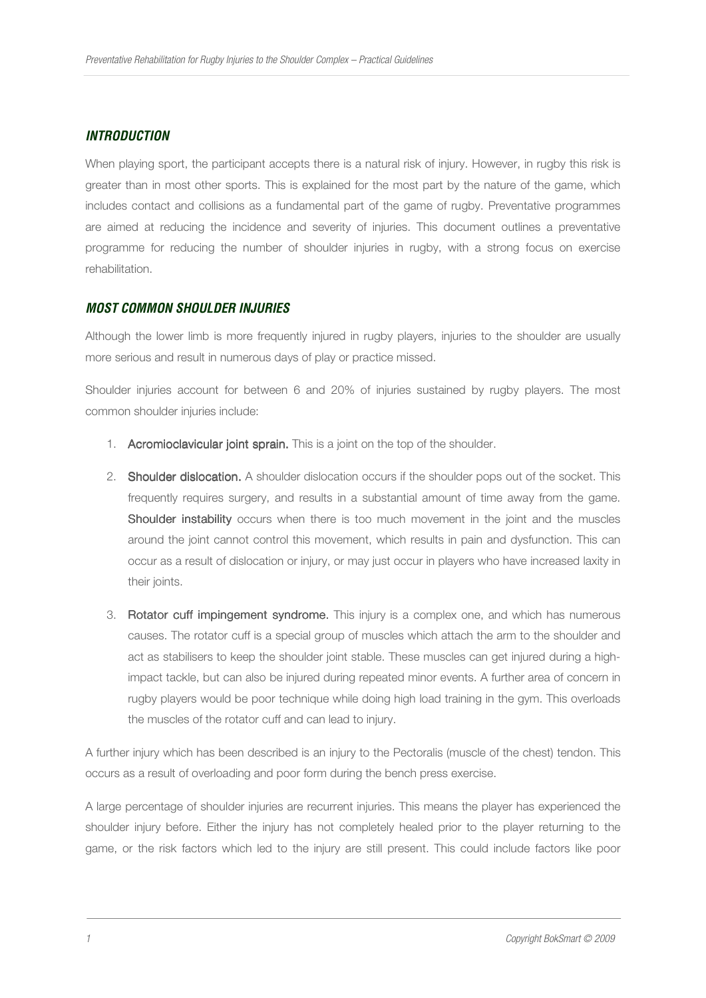#### *INTRODUCTION*

When playing sport, the participant accepts there is a natural risk of injury. However, in rugby this risk is greater than in most other sports. This is explained for the most part by the nature of the game, which includes contact and collisions as a fundamental part of the game of rugby. Preventative programmes are aimed at reducing the incidence and severity of injuries. This document outlines a preventative programme for reducing the number of shoulder injuries in rugby, with a strong focus on exercise rehabilitation.

#### *MOST COMMON SHOULDER INJURIES*

Although the lower limb is more frequently injured in rugby players, injuries to the shoulder are usually more serious and result in numerous days of play or practice missed.

Shoulder injuries account for between 6 and 20% of injuries sustained by rugby players. The most common shoulder injuries include:

- 1. Acromioclavicular joint sprain. This is a joint on the top of the shoulder.
- 2. Shoulder dislocation. A shoulder dislocation occurs if the shoulder pops out of the socket. This frequently requires surgery, and results in a substantial amount of time away from the game. Shoulder instability occurs when there is too much movement in the joint and the muscles around the joint cannot control this movement, which results in pain and dysfunction. This can occur as a result of dislocation or injury, or may just occur in players who have increased laxity in their joints.
- 3. Rotator cuff impingement syndrome. This injury is a complex one, and which has numerous causes. The rotator cuff is a special group of muscles which attach the arm to the shoulder and act as stabilisers to keep the shoulder joint stable. These muscles can get injured during a highimpact tackle, but can also be injured during repeated minor events. A further area of concern in rugby players would be poor technique while doing high load training in the gym. This overloads the muscles of the rotator cuff and can lead to injury.

A further injury which has been described is an injury to the Pectoralis (muscle of the chest) tendon. This occurs as a result of overloading and poor form during the bench press exercise.

A large percentage of shoulder injuries are recurrent injuries. This means the player has experienced the shoulder injury before. Either the injury has not completely healed prior to the player returning to the game, or the risk factors which led to the injury are still present. This could include factors like poor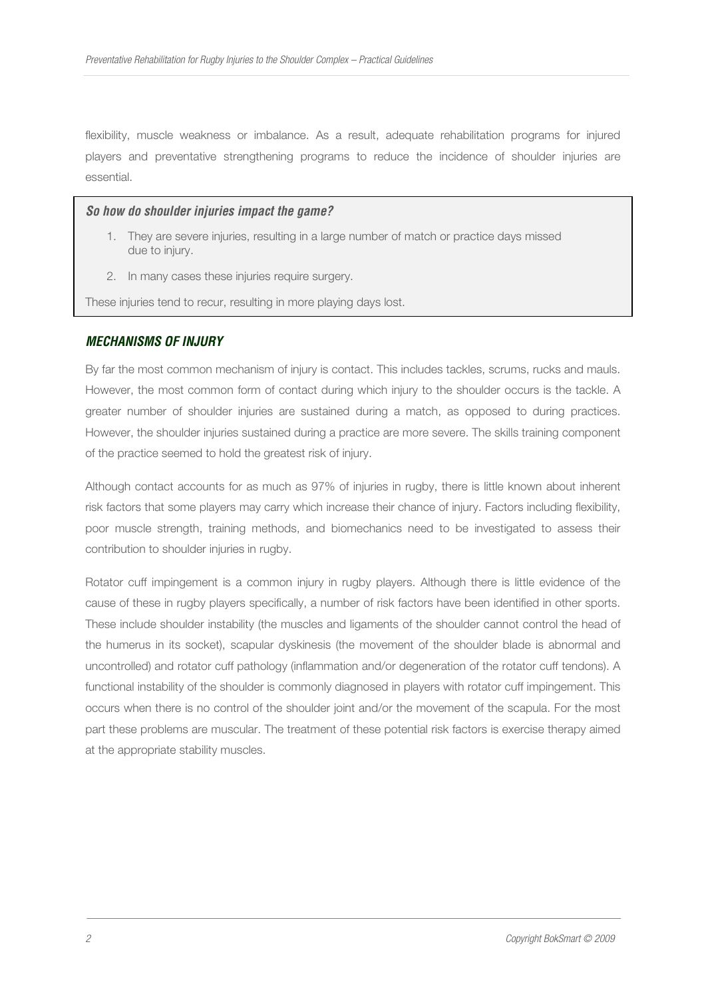flexibility, muscle weakness or imbalance. As a result, adequate rehabilitation programs for injured players and preventative strengthening programs to reduce the incidence of shoulder injuries are essential.

#### *So how do shoulder injuries impact the game?*

- 1. They are severe injuries, resulting in a large number of match or practice days missed due to injury.
- 2. In many cases these injuries require surgery.

These injuries tend to recur, resulting in more playing days lost.

#### *MECHANISMS OF INJURY*

By far the most common mechanism of injury is contact. This includes tackles, scrums, rucks and mauls. However, the most common form of contact during which injury to the shoulder occurs is the tackle. A greater number of shoulder injuries are sustained during a match, as opposed to during practices. However, the shoulder injuries sustained during a practice are more severe. The skills training component of the practice seemed to hold the greatest risk of injury.

Although contact accounts for as much as 97% of injuries in rugby, there is little known about inherent risk factors that some players may carry which increase their chance of injury. Factors including flexibility, poor muscle strength, training methods, and biomechanics need to be investigated to assess their contribution to shoulder injuries in rugby.

Rotator cuff impingement is a common injury in rugby players. Although there is little evidence of the cause of these in rugby players specifically, a number of risk factors have been identified in other sports. These include shoulder instability (the muscles and ligaments of the shoulder cannot control the head of the humerus in its socket), scapular dyskinesis (the movement of the shoulder blade is abnormal and uncontrolled) and rotator cuff pathology (inflammation and/or degeneration of the rotator cuff tendons). A functional instability of the shoulder is commonly diagnosed in players with rotator cuff impingement. This occurs when there is no control of the shoulder joint and/or the movement of the scapula. For the most part these problems are muscular. The treatment of these potential risk factors is exercise therapy aimed at the appropriate stability muscles.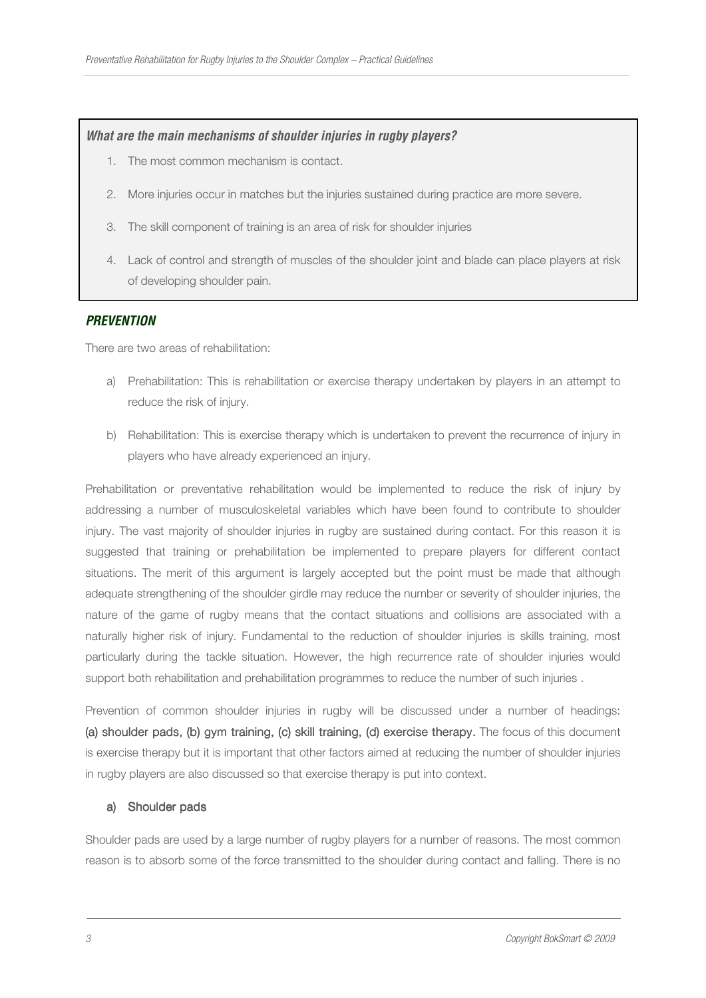#### *What are the main mechanisms of shoulder injuries in rugby players?*

- 1. The most common mechanism is contact.
- 2. More injuries occur in matches but the injuries sustained during practice are more severe.
- 3. The skill component of training is an area of risk for shoulder injuries
- 4. Lack of control and strength of muscles of the shoulder joint and blade can place players at risk of developing shoulder pain.

#### *PREVENTION*

There are two areas of rehabilitation:

- a) Prehabilitation: This is rehabilitation or exercise therapy undertaken by players in an attempt to reduce the risk of injury.
- b) Rehabilitation: This is exercise therapy which is undertaken to prevent the recurrence of injury in players who have already experienced an injury.

Prehabilitation or preventative rehabilitation would be implemented to reduce the risk of injury by addressing a number of musculoskeletal variables which have been found to contribute to shoulder injury. The vast majority of shoulder injuries in rugby are sustained during contact. For this reason it is suggested that training or prehabilitation be implemented to prepare players for different contact situations. The merit of this argument is largely accepted but the point must be made that although adequate strengthening of the shoulder girdle may reduce the number or severity of shoulder injuries, the nature of the game of rugby means that the contact situations and collisions are associated with a naturally higher risk of injury. Fundamental to the reduction of shoulder injuries is skills training, most particularly during the tackle situation. However, the high recurrence rate of shoulder injuries would support both rehabilitation and prehabilitation programmes to reduce the number of such injuries .

Prevention of common shoulder injuries in rugby will be discussed under a number of headings: (a) shoulder pads, (b) gym training, (c) skill training, (d) exercise therapy. The focus of this document is exercise therapy but it is important that other factors aimed at reducing the number of shoulder injuries in rugby players are also discussed so that exercise therapy is put into context.

#### a) Shoulder pads

Shoulder pads are used by a large number of rugby players for a number of reasons. The most common reason is to absorb some of the force transmitted to the shoulder during contact and falling. There is no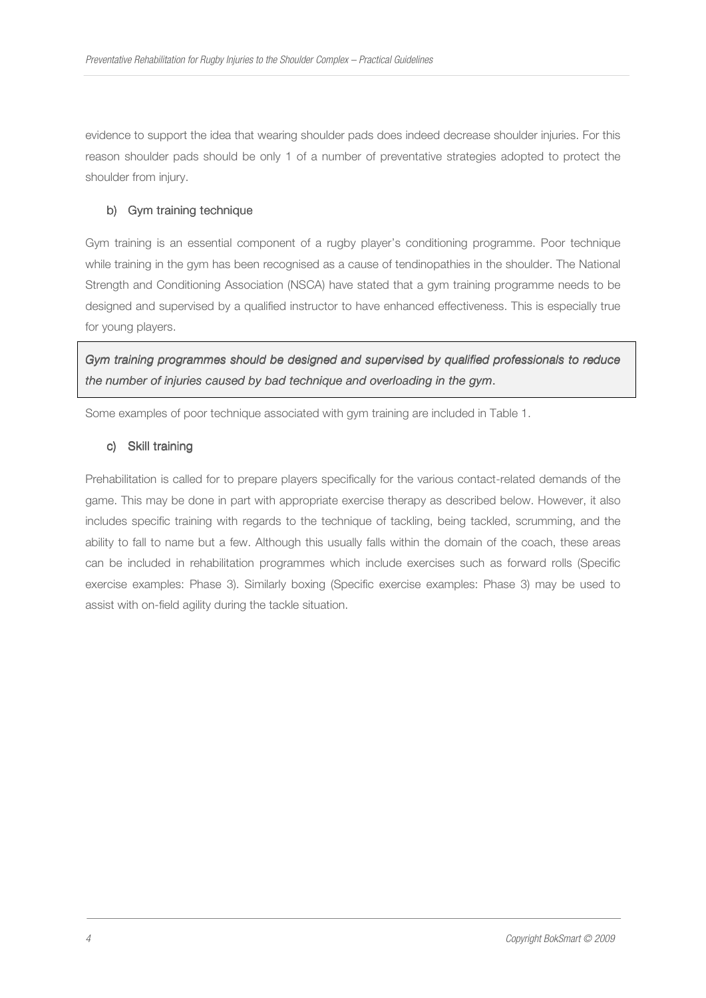evidence to support the idea that wearing shoulder pads does indeed decrease shoulder injuries. For this reason shoulder pads should be only 1 of a number of preventative strategies adopted to protect the shoulder from injury.

# b) Gym training technique

Gym training is an essential component of a rugby player's conditioning programme. Poor technique while training in the gym has been recognised as a cause of tendinopathies in the shoulder. The National Strength and Conditioning Association (NSCA) have stated that a gym training programme needs to be designed and supervised by a qualified instructor to have enhanced effectiveness. This is especially true for young players.

*Gym training programmes should be designed and supervised by qualified professionals to reduce the number of injuries caused by bad technique and overloading in the gym*.

Some examples of poor technique associated with gym training are included in Table 1.

#### c) Skill training

Prehabilitation is called for to prepare players specifically for the various contact-related demands of the game. This may be done in part with appropriate exercise therapy as described below. However, it also includes specific training with regards to the technique of tackling, being tackled, scrumming, and the ability to fall to name but a few. Although this usually falls within the domain of the coach, these areas can be included in rehabilitation programmes which include exercises such as forward rolls (Specific exercise examples: Phase 3). Similarly boxing (Specific exercise examples: Phase 3) may be used to assist with on-field agility during the tackle situation.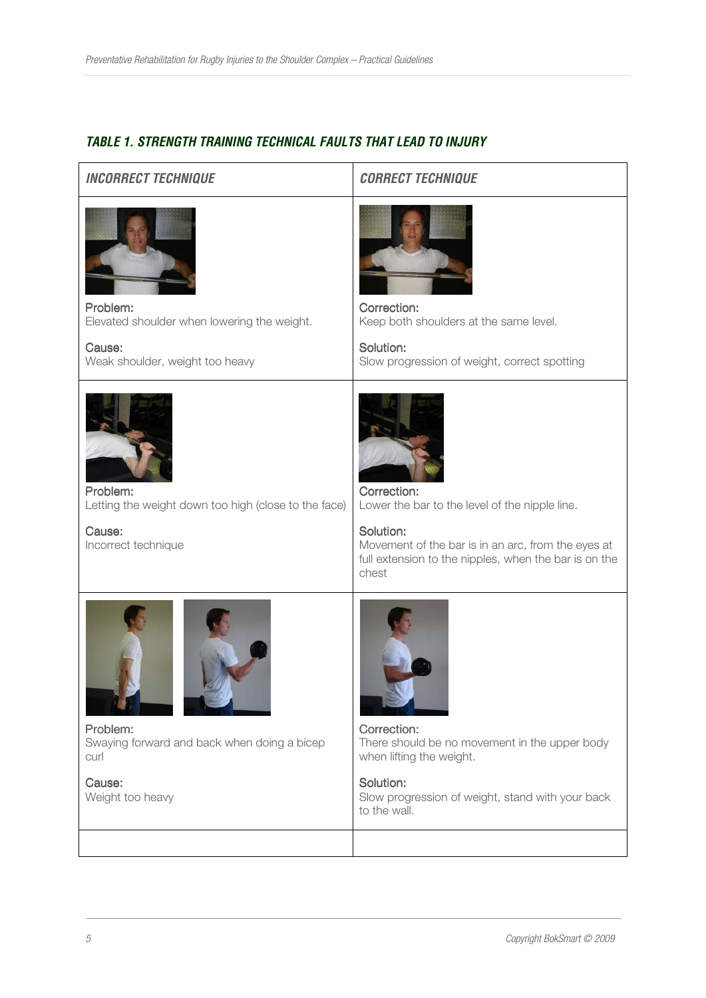# *TABLE 1. STRENGTH TRAINING TECHNICAL FAULTS THAT LEAD TO INJURY*

#### *INCORRECT TECHNIQUE CORRECT TECHNIQUE*



Problem: Elevated shoulder when lowering the weight.

Cause: Weak shoulder, weight too heavy



Problem: Letting the weight down too high (close to the face)

Cause: Incorrect technique



Correction:

Correction: Lower the bar to the level of the nipple line.

Solution: Movement of the bar is in an arc, from the eyes at full extension to the nipples, when the bar is on the chest





Problem: Swaying forward and back when doing a bicep curl

Cause: Weight too heavy



Correction: There should be no movement in the upper body when lifting the weight.

#### Solution:

Slow progression of weight, stand with your back to the wall.

# Keep both shoulders at the same level.

Solution: Slow progression of weight, correct spotting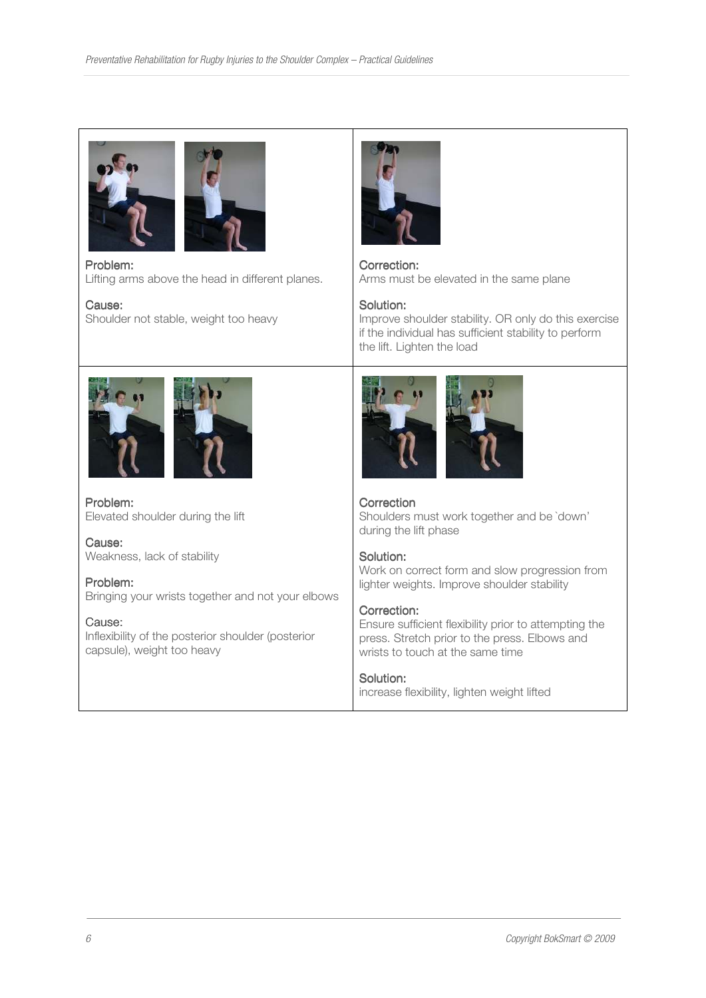



Problem: Lifting arms above the head in different planes.

# Cause:

Shoulder not stable, weight too heavy



Correction: Arms must be elevated in the same plane

#### Solution:

Improve shoulder stability. OR only do this exercise if the individual has sufficient stability to perform the lift. Lighten the load



Problem: Elevated shoulder during the lift

Cause: Weakness, lack of stability

# Problem:

Bringing your wrists together and not your elbows

# Cause:

Inflexibility of the posterior shoulder (posterior capsule), weight too heavy



# Correction

Shoulders must work together and be `down' during the lift phase

# Solution:

Work on correct form and slow progression from lighter weights. Improve shoulder stability

#### Correction:

Ensure sufficient flexibility prior to attempting the press. Stretch prior to the press. Elbows and wrists to touch at the same time

# Solution:

increase flexibility, lighten weight lifted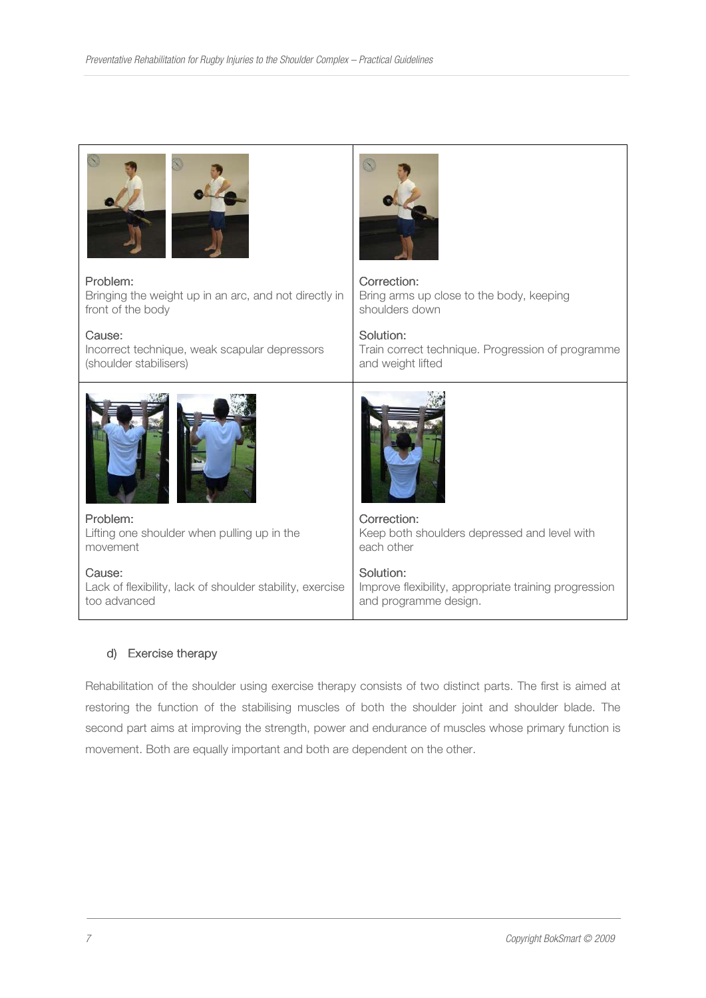

#### Problem: Problem:

Bringing the weight up in an arc, and not directly in front of the body

#### Cause:

Incorrect technique, weak scapular depressors (shoulder stabilisers)



Problem: Lifting one shoulder when pulling up in the movement

Cause: Lack of flexibility, lack of shoulder stability, exercise too advanced



Correction: Bring arms up close to the body, keeping shoulders down

#### Solution:

Train correct technique. Progression of programme and weight lifted



Correction: Keep both shoulders depressed and level with each other

#### Solution:

Improve flexibility, appropriate training progression and programme design.

#### d) Exercise therapy

Rehabilitation of the shoulder using exercise therapy consists of two distinct parts. The first is aimed at restoring the function of the stabilising muscles of both the shoulder joint and shoulder blade. The second part aims at improving the strength, power and endurance of muscles whose primary function is movement. Both are equally important and both are dependent on the other.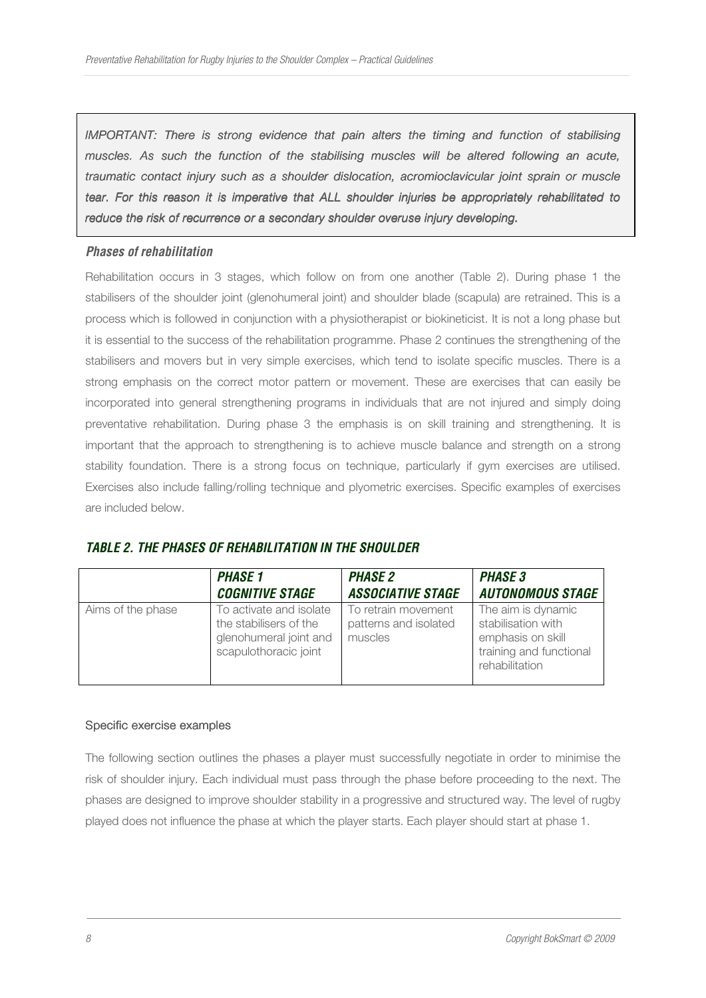*IMPORTANT: There is strong evidence that pain alters the timing and function of stabilising* muscles. As such the function of the stabilising muscles will be altered following an acute, *traumatic contact injury such as a shoulder dislocation, acromioclavicular joint sprain or muscle tear. For this reason it is imperative that ALL shoulder injuries be appropriately rehabilitated to* reduce the risk of recurrence or a secondary shoulder overuse injury developing.

#### *Phases of rehabilitation*

Rehabilitation occurs in 3 stages, which follow on from one another (Table 2). During phase 1 the stabilisers of the shoulder joint (glenohumeral joint) and shoulder blade (scapula) are retrained. This is a process which is followed in conjunction with a physiotherapist or biokineticist. It is not a long phase but it is essential to the success of the rehabilitation programme. Phase 2 continues the strengthening of the stabilisers and movers but in very simple exercises, which tend to isolate specific muscles. There is a strong emphasis on the correct motor pattern or movement. These are exercises that can easily be incorporated into general strengthening programs in individuals that are not injured and simply doing preventative rehabilitation. During phase 3 the emphasis is on skill training and strengthening. It is important that the approach to strengthening is to achieve muscle balance and strength on a strong stability foundation. There is a strong focus on technique, particularly if gym exercises are utilised. Exercises also include falling/rolling technique and plyometric exercises. Specific examples of exercises are included below.

# *TABLE 2. THE PHASES OF REHABILITATION IN THE SHOULDER*

|                   | <b>PHASE 1</b>                                                                                       | <b>PHASE 2</b>                                          | <b>PHASE 3</b>                                                                                             |
|-------------------|------------------------------------------------------------------------------------------------------|---------------------------------------------------------|------------------------------------------------------------------------------------------------------------|
|                   | <b>COGNITIVE STAGE</b>                                                                               | <b>ASSOCIATIVE STAGE</b>                                | <b>AUTONOMOUS STAGE</b>                                                                                    |
| Aims of the phase | To activate and isolate<br>the stabilisers of the<br>glenohumeral joint and<br>scapulothoracic joint | To retrain movement<br>patterns and isolated<br>muscles | The aim is dynamic<br>stabilisation with<br>emphasis on skill<br>training and functional<br>rehabilitation |

#### Specific exercise examples

The following section outlines the phases a player must successfully negotiate in order to minimise the risk of shoulder injury. Each individual must pass through the phase before proceeding to the next. The phases are designed to improve shoulder stability in a progressive and structured way. The level of rugby played does not influence the phase at which the player starts. Each player should start at phase 1.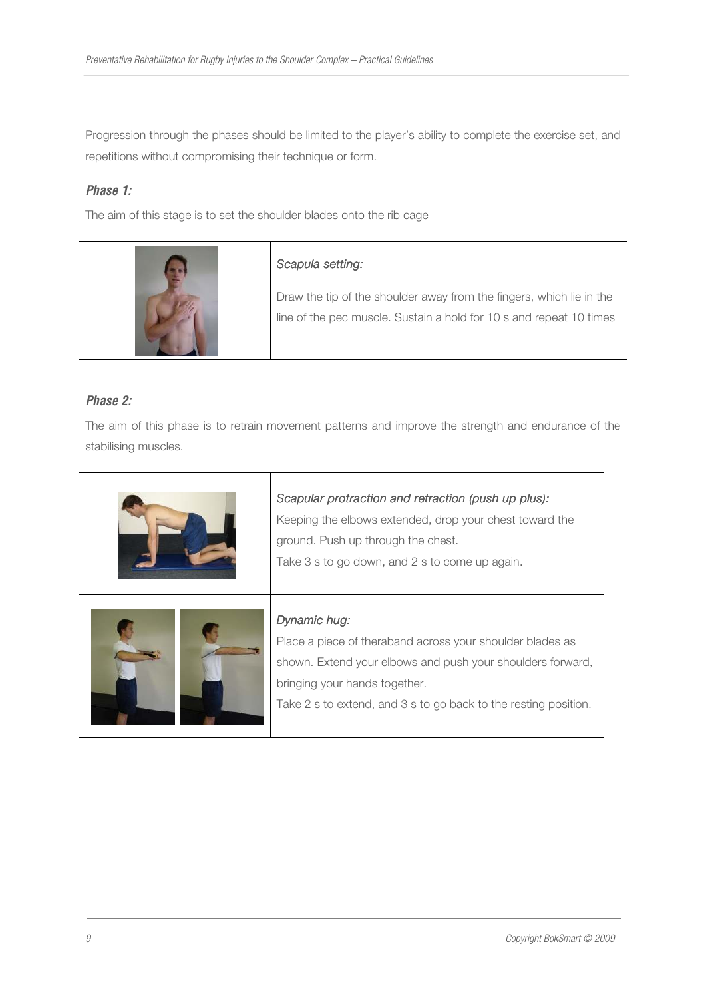Progression through the phases should be limited to the player's ability to complete the exercise set, and repetitions without compromising their technique or form.

# *Phase 1:*

The aim of this stage is to set the shoulder blades onto the rib cage



# *Scapula setting: Scapula setting:*

Draw the tip of the shoulder away from the fingers, which lie in the line of the pec muscle. Sustain a hold for 10 s and repeat 10 times

# *Phase 2:*

The aim of this phase is to retrain movement patterns and improve the strength and endurance of the stabilising muscles.

| Scapular protraction and retraction (push up plus):<br>Keeping the elbows extended, drop your chest toward the<br>ground. Push up through the chest.<br>Take 3 s to go down, and 2 s to come up again.                                      |  |
|---------------------------------------------------------------------------------------------------------------------------------------------------------------------------------------------------------------------------------------------|--|
| Dynamic hug:<br>Place a piece of theraband across your shoulder blades as<br>shown. Extend your elbows and push your shoulders forward,<br>bringing your hands together.<br>Take 2 s to extend, and 3 s to go back to the resting position. |  |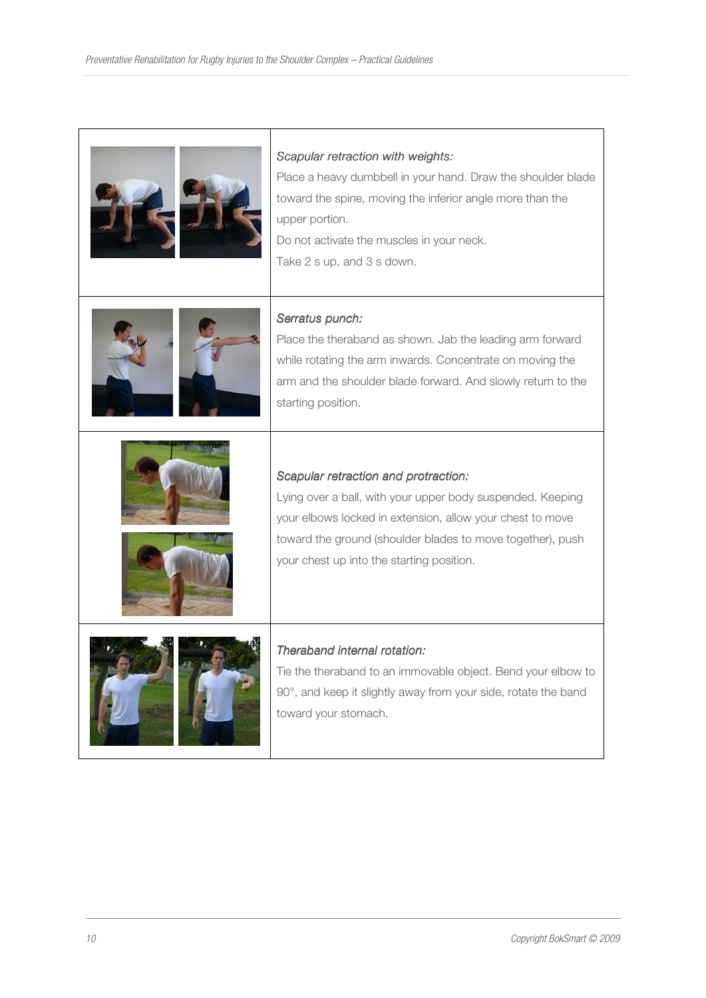| Scapular retraction with weights:<br>Place a heavy dumbbell in your hand. Draw the shoulder blade<br>toward the spine, moving the inferior angle more than the<br>upper portion.<br>Do not activate the muscles in your neck.<br>Take 2 s up, and 3 s down.                |
|----------------------------------------------------------------------------------------------------------------------------------------------------------------------------------------------------------------------------------------------------------------------------|
| Serratus punch:<br>Place the theraband as shown. Jab the leading arm forward<br>while rotating the arm inwards. Concentrate on moving the<br>arm and the shoulder blade forward. And slowly return to the<br>starting position.                                            |
| Scapular retraction and protraction:<br>Lying over a ball, with your upper body suspended. Keeping<br>your elbows locked in extension, allow your chest to move<br>toward the ground (shoulder blades to move together), push<br>your chest up into the starting position. |
| Theraband internal rotation:<br>Tie the theraband to an immovable object. Bend your elbow to<br>90°, and keep it slightly away from your side, rotate the band<br>toward your stomach.                                                                                     |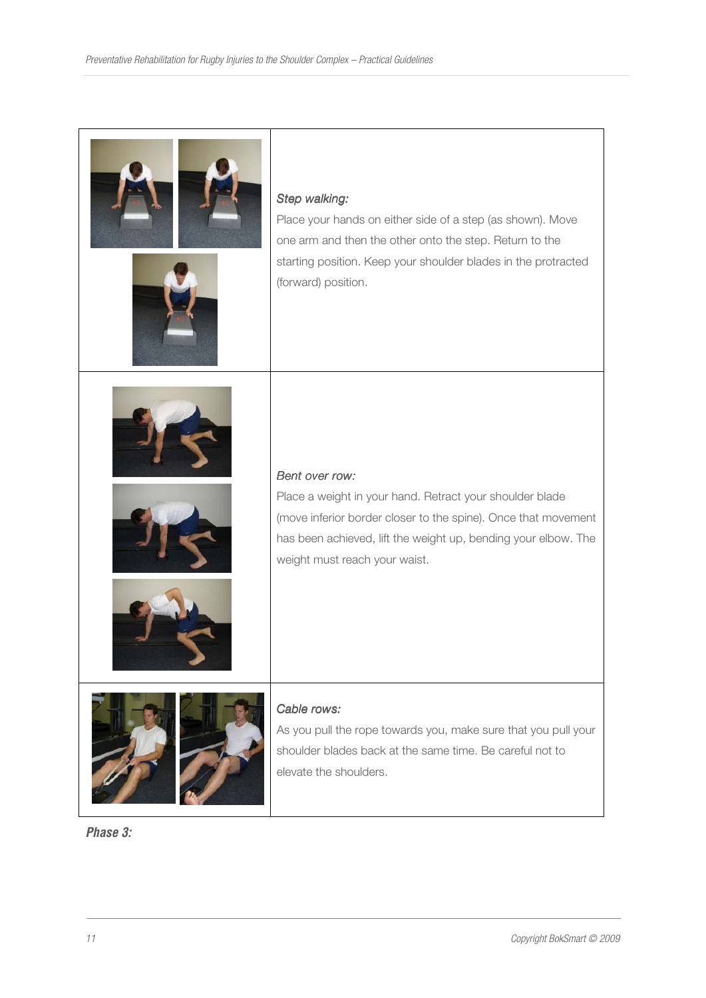| Step walking:<br>Place your hands on either side of a step (as shown). Move<br>one arm and then the other onto the step. Return to the<br>starting position. Keep your shoulder blades in the protracted<br>(forward) position.                 |
|-------------------------------------------------------------------------------------------------------------------------------------------------------------------------------------------------------------------------------------------------|
| Bent over row:<br>Place a weight in your hand. Retract your shoulder blade<br>(move inferior border closer to the spine). Once that movement<br>has been achieved, lift the weight up, bending your elbow. The<br>weight must reach your waist. |
| Cable rows:<br>As you pull the rope towards you, make sure that you pull your<br>shoulder blades back at the same time. Be careful not to<br>elevate the shoulders.                                                                             |

*Phase 3:*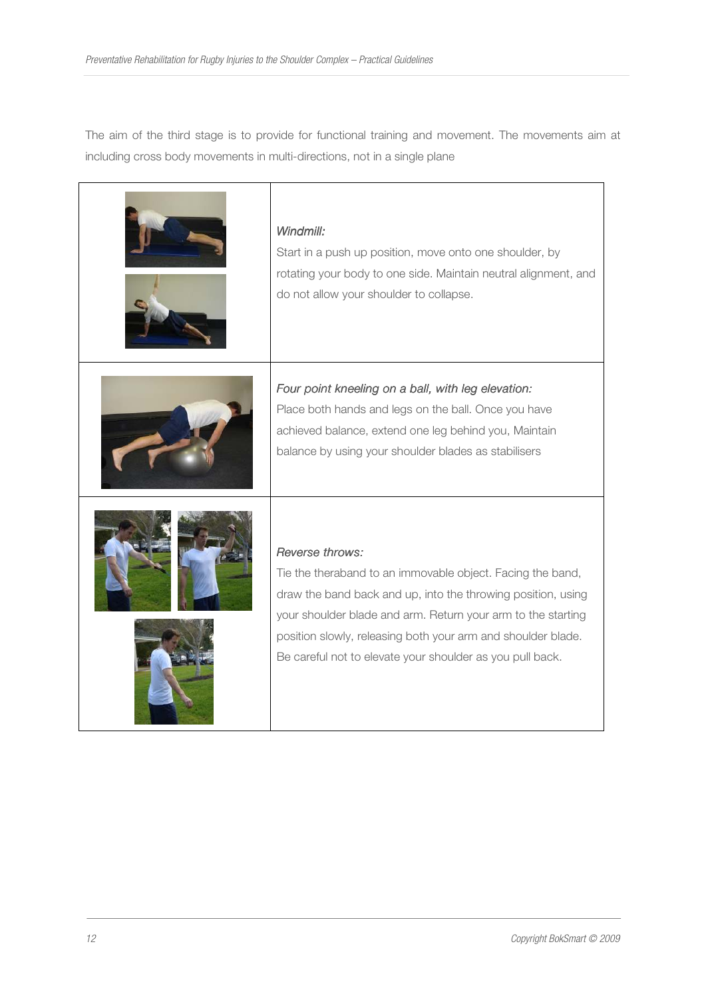The aim of the third stage is to provide for functional training and movement. The movements aim at including cross body movements in multi-directions, not in a single plane

| Windmill:<br>Start in a push up position, move onto one shoulder, by<br>rotating your body to one side. Maintain neutral alignment, and<br>do not allow your shoulder to collapse.                                                                                                                                                         |
|--------------------------------------------------------------------------------------------------------------------------------------------------------------------------------------------------------------------------------------------------------------------------------------------------------------------------------------------|
| Four point kneeling on a ball, with leg elevation:<br>Place both hands and legs on the ball. Once you have<br>achieved balance, extend one leg behind you, Maintain<br>balance by using your shoulder blades as stabilisers                                                                                                                |
| Reverse throws:<br>Tie the theraband to an immovable object. Facing the band,<br>draw the band back and up, into the throwing position, using<br>your shoulder blade and arm. Return your arm to the starting<br>position slowly, releasing both your arm and shoulder blade.<br>Be careful not to elevate your shoulder as you pull back. |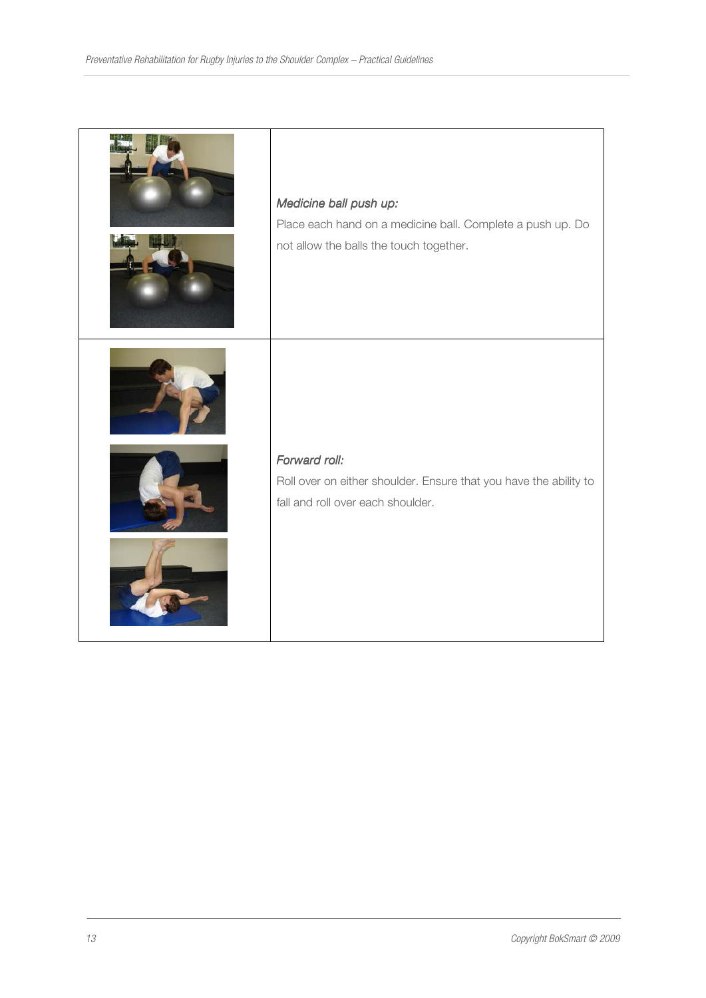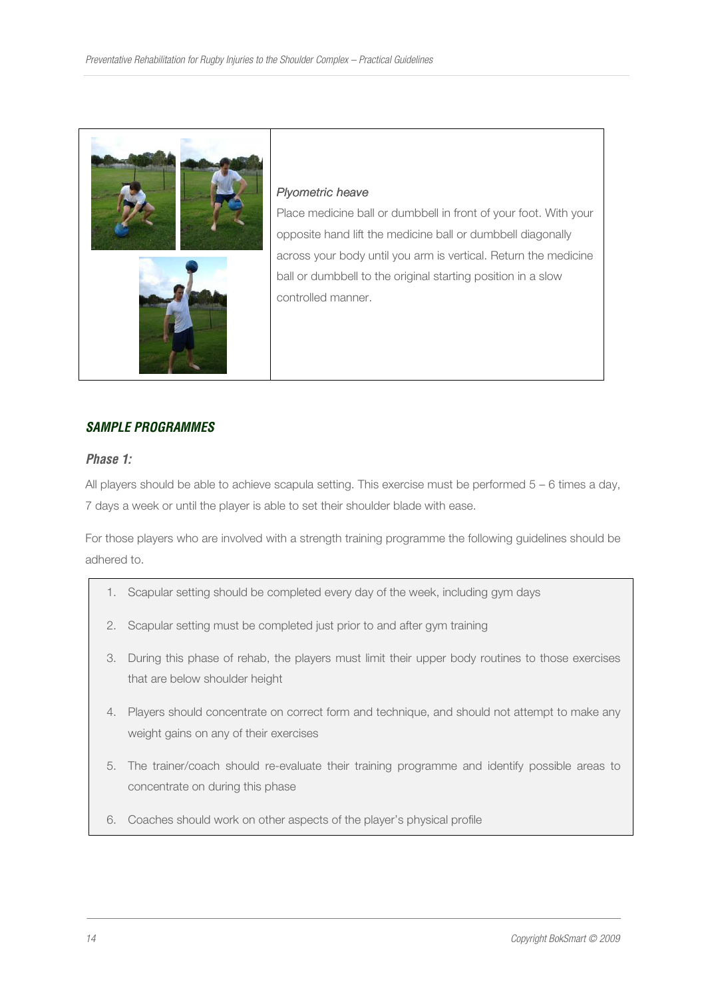

#### **Plyometric heave**

Place medicine ball or dumbbell in front of your foot. With your opposite hand lift the medicine ball or dumbbell diagonally across your body until you arm is vertical. Return the medicine ball or dumbbell to the original starting position in a slow controlled manner.

# *SAMPLE PROGRAMMES*

#### *Phase 1:*

All players should be able to achieve scapula setting. This exercise must be performed  $5 - 6$  times a day, 7 days a week or until the player is able to set their shoulder blade with ease.

For those players who are involved with a strength training programme the following guidelines should be adhered to.

- 1. Scapular setting should be completed every day of the week, including gym days
- 2. Scapular setting must be completed just prior to and after gym training
- 3. During this phase of rehab, the players must limit their upper body routines to those exercises that are below shoulder height
- 4. Players should concentrate on correct form and technique, and should not attempt to make any weight gains on any of their exercises
- 5. The trainer/coach should re-evaluate their training programme and identify possible areas to concentrate on during this phase
- 6. Coaches should work on other aspects of the player's physical profile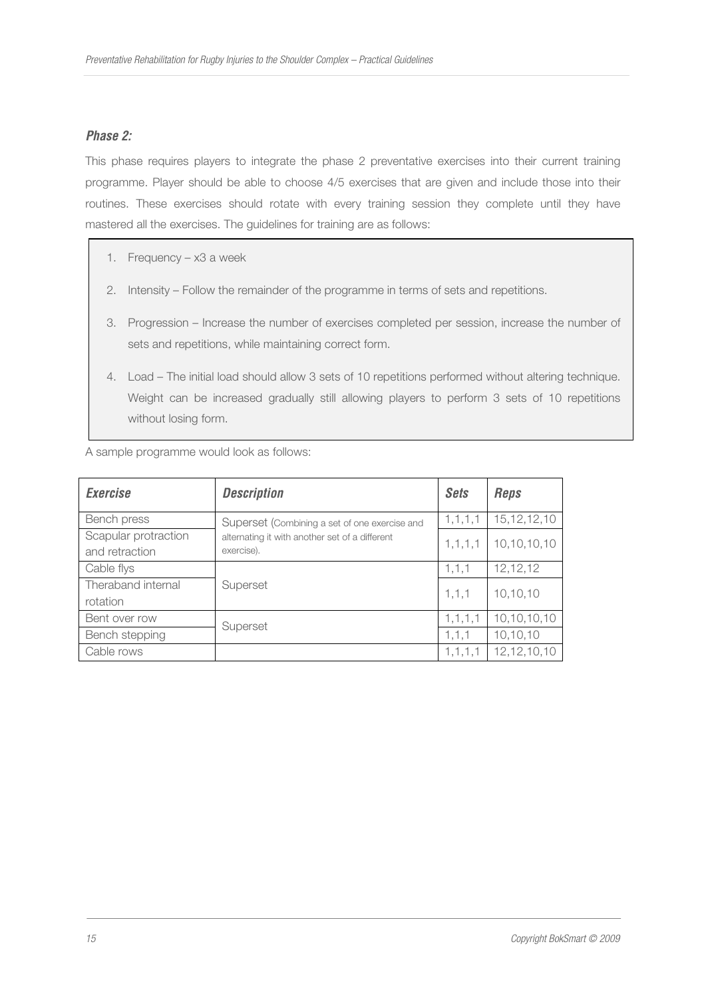# *Phase 2:*

This phase requires players to integrate the phase 2 preventative exercises into their current training programme. Player should be able to choose 4/5 exercises that are given and include those into their routines. These exercises should rotate with every training session they complete until they have mastered all the exercises. The guidelines for training are as follows:

- 1. Frequency x3 a week
- 2. Intensity Follow the remainder of the programme in terms of sets and repetitions.
- 3. Progression Increase the number of exercises completed per session, increase the number of sets and repetitions, while maintaining correct form.
- 4. Load The initial load should allow 3 sets of 10 repetitions performed without altering technique. Weight can be increased gradually still allowing players to perform 3 sets of 10 repetitions without losing form.

A sample programme would look as follows:

| <b>Exercise</b>                        | <b>Description</b>                                           | <b>Sets</b> | <b>Reps</b>    |
|----------------------------------------|--------------------------------------------------------------|-------------|----------------|
| Bench press                            | Superset (Combining a set of one exercise and                | 1, 1, 1, 1  | 15, 12, 12, 10 |
| Scapular protraction<br>and retraction | alternating it with another set of a different<br>exercise). | 1, 1, 1, 1  | 10,10,10,10    |
| Cable flys                             |                                                              | 1, 1, 1     | 12,12,12       |
| Theraband internal<br>rotation         | Superset                                                     | 1, 1, 1     | 10,10,10       |
| Bent over row                          |                                                              | 1, 1, 1, 1  | 10,10,10,10    |
| Bench stepping                         | Superset                                                     | 1, 1, 1     | 10,10,10       |
| Cable rows                             |                                                              | 1, 1, 1, 1  | 12, 12, 10, 10 |